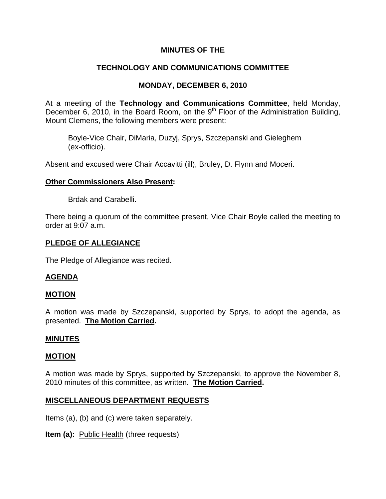## **MINUTES OF THE**

# **TECHNOLOGY AND COMMUNICATIONS COMMITTEE**

# **MONDAY, DECEMBER 6, 2010**

At a meeting of the **Technology and Communications Committee**, held Monday, December 6, 2010, in the Board Room, on the 9<sup>th</sup> Floor of the Administration Building, Mount Clemens, the following members were present:

Boyle-Vice Chair, DiMaria, Duzyj, Sprys, Szczepanski and Gieleghem (ex-officio).

Absent and excused were Chair Accavitti (ill), Bruley, D. Flynn and Moceri.

## **Other Commissioners Also Present:**

Brdak and Carabelli.

There being a quorum of the committee present, Vice Chair Boyle called the meeting to order at 9:07 a.m.

## **PLEDGE OF ALLEGIANCE**

The Pledge of Allegiance was recited.

## **AGENDA**

#### **MOTION**

A motion was made by Szczepanski, supported by Sprys, to adopt the agenda, as presented. **The Motion Carried.** 

#### **MINUTES**

#### **MOTION**

A motion was made by Sprys, supported by Szczepanski, to approve the November 8, 2010 minutes of this committee, as written. **The Motion Carried.** 

#### **MISCELLANEOUS DEPARTMENT REQUESTS**

Items (a), (b) and (c) were taken separately.

**Item (a):** Public Health (three requests)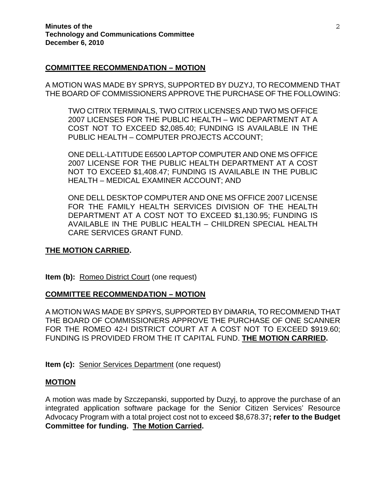## **COMMITTEE RECOMMENDATION – MOTION**

A MOTION WAS MADE BY SPRYS, SUPPORTED BY DUZYJ, TO RECOMMEND THAT THE BOARD OF COMMISSIONERS APPROVE THE PURCHASE OF THE FOLLOWING:

TWO CITRIX TERMINALS, TWO CITRIX LICENSES AND TWO MS OFFICE 2007 LICENSES FOR THE PUBLIC HEALTH – WIC DEPARTMENT AT A COST NOT TO EXCEED \$2,085.40; FUNDING IS AVAILABLE IN THE PUBLIC HEALTH – COMPUTER PROJECTS ACCOUNT;

ONE DELL-LATITUDE E6500 LAPTOP COMPUTER AND ONE MS OFFICE 2007 LICENSE FOR THE PUBLIC HEALTH DEPARTMENT AT A COST NOT TO EXCEED \$1,408.47; FUNDING IS AVAILABLE IN THE PUBLIC HEALTH – MEDICAL EXAMINER ACCOUNT; AND

ONE DELL DESKTOP COMPUTER AND ONE MS OFFICE 2007 LICENSE FOR THE FAMILY HEALTH SERVICES DIVISION OF THE HEALTH DEPARTMENT AT A COST NOT TO EXCEED \$1,130.95; FUNDING IS AVAILABLE IN THE PUBLIC HEALTH – CHILDREN SPECIAL HEALTH CARE SERVICES GRANT FUND.

#### **THE MOTION CARRIED.**

**Item (b):** Romeo District Court (one request)

## **COMMITTEE RECOMMENDATION – MOTION**

A MOTION WAS MADE BY SPRYS, SUPPORTED BY DiMARIA, TO RECOMMEND THAT THE BOARD OF COMMISSIONERS APPROVE THE PURCHASE OF ONE SCANNER FOR THE ROMEO 42-I DISTRICT COURT AT A COST NOT TO EXCEED \$919.60; FUNDING IS PROVIDED FROM THE IT CAPITAL FUND. **THE MOTION CARRIED.** 

**Item (c):** Senior Services Department (one request)

#### **MOTION**

A motion was made by Szczepanski, supported by Duzyj, to approve the purchase of an integrated application software package for the Senior Citizen Services' Resource Advocacy Program with a total project cost not to exceed \$8,678.37**; refer to the Budget Committee for funding. The Motion Carried.**